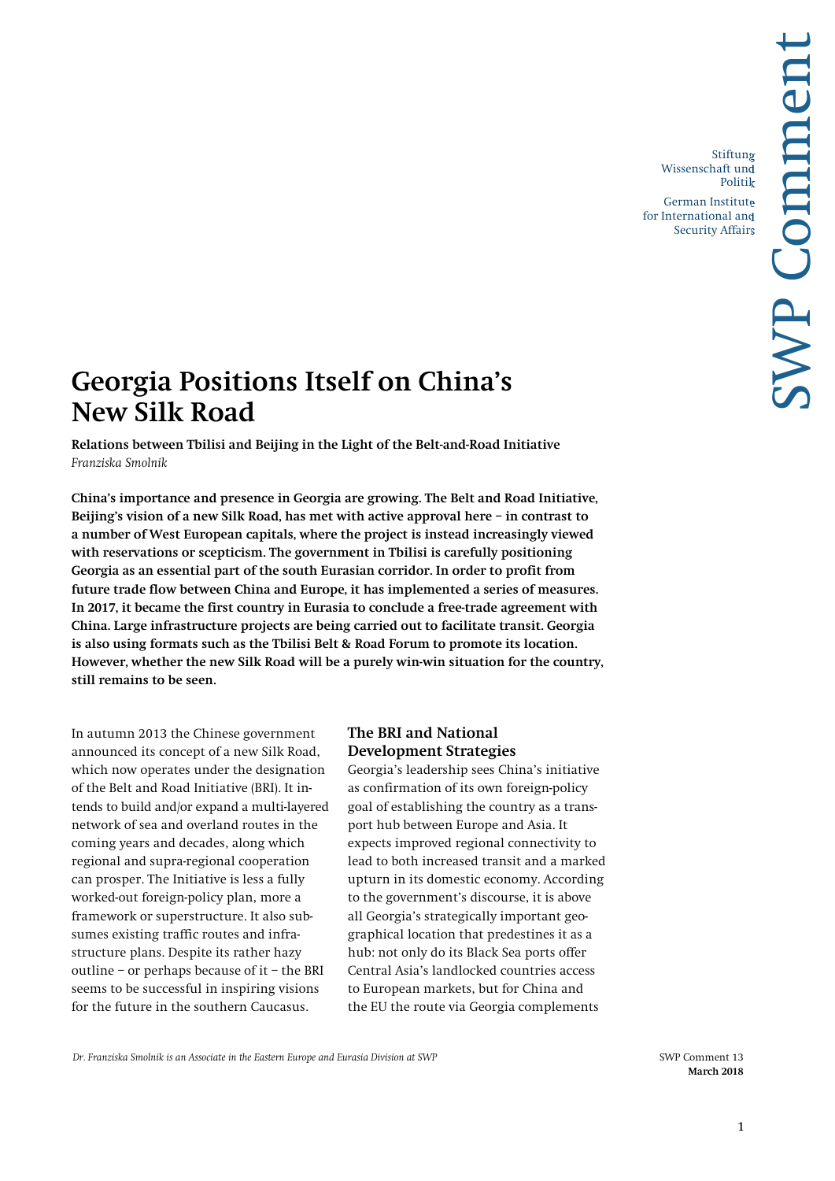Stiftung Wissenschaft und Politik

German Institute for International and Security Affairs

# **Georgia Positions Itself on China's New Silk Road**

**Relations between Tbilisi and Beijing in the Light of the Belt-and-Road Initiative** *Franziska Smolnik*

**China's importance and presence in Georgia are growing. The Belt and Road Initiative, Beijing's vision of a new Silk Road, has met with active approval here – in contrast to a number of West European capitals, where the project is instead increasingly viewed with reservations or scepticism. The government in Tbilisi is carefully positioning Georgia as an essential part of the south Eurasian corridor. In order to profit from future trade flow between China and Europe, it has implemented a series of measures. In 2017, it became the first country in Eurasia to conclude a free-trade agreement with China. Large infrastructure projects are being carried out to facilitate transit. Georgia is also using formats such as the Tbilisi Belt & Road Forum to promote its location. However, whether the new Silk Road will be a purely win-win situation for the country, still remains to be seen.**

In autumn 2013 the Chinese government announced its concept of a new Silk Road, which now operates under the designation of the Belt and Road Initiative (BRI). It intends to build and/or expand a multi-layered network of sea and overland routes in the coming years and decades, along which regional and supra-regional cooperation can prosper. The Initiative is less a fully worked-out foreign-policy plan, more a framework or superstructure. It also subsumes existing traffic routes and infrastructure plans. Despite its rather hazy outline – or perhaps because of it – the BRI seems to be successful in inspiring visions for the future in the southern Caucasus.

## **The BRI and National Development Strategies**

Georgia's leadership sees China's initiative as confirmation of its own foreign-policy goal of establishing the country as a transport hub between Europe and Asia. It expects improved regional connectivity to lead to both increased transit and a marked upturn in its domestic economy. According to the government's discourse, it is above all Georgia's strategically important geographical location that predestines it as a hub: not only do its Black Sea ports offer Central Asia's landlocked countries access to European markets, but for China and the EU the route via Georgia complements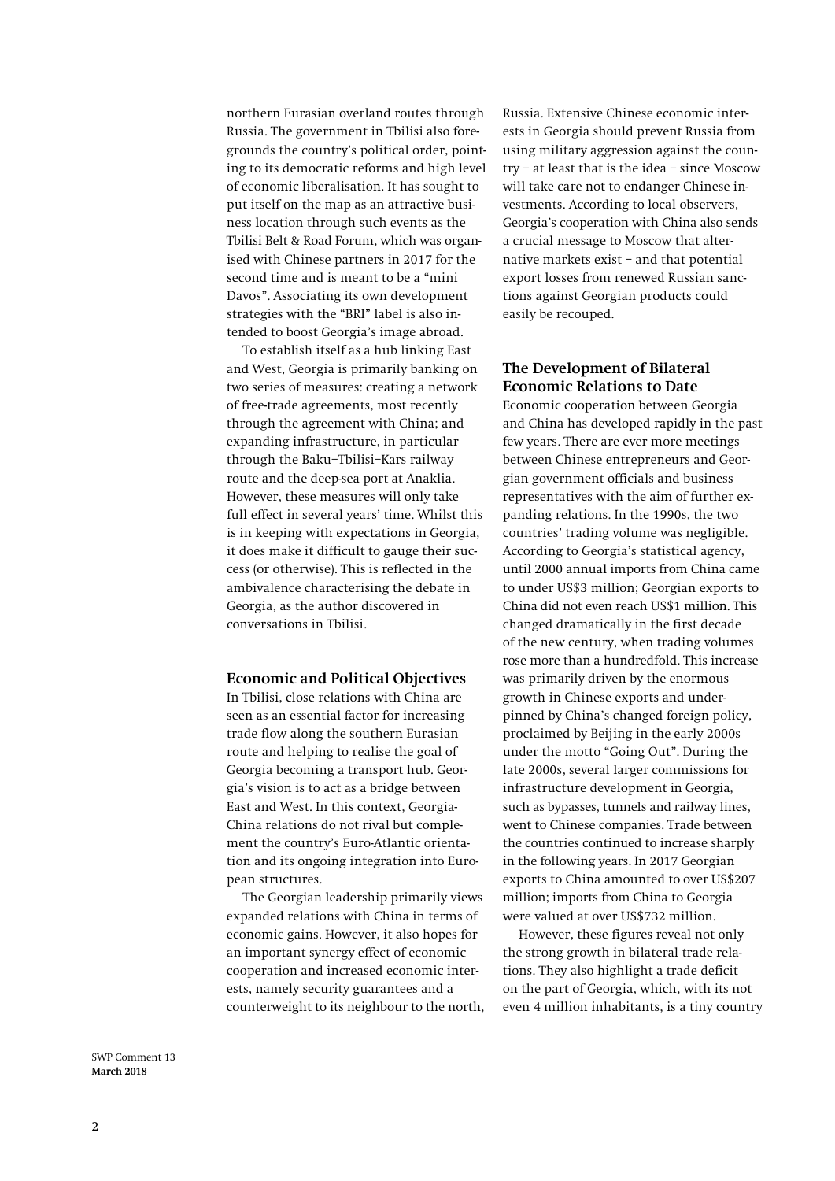northern Eurasian overland routes through Russia. The government in Tbilisi also foregrounds the country's political order, pointing to its democratic reforms and high level of economic liberalisation. It has sought to put itself on the map as an attractive business location through such events as the Tbilisi Belt & Road Forum, which was organised with Chinese partners in 2017 for the second time and is meant to be a "mini Davos". Associating its own development strategies with the "BRI" label is also intended to boost Georgia's image abroad.

To establish itself as a hub linking East and West, Georgia is primarily banking on two series of measures: creating a network of free-trade agreements, most recently through the agreement with China; and expanding infrastructure, in particular through the Baku–Tbilisi–Kars railway route and the deep-sea port at Anaklia. However, these measures will only take full effect in several years' time. Whilst this is in keeping with expectations in Georgia, it does make it difficult to gauge their success (or otherwise). This is reflected in the ambivalence characterising the debate in Georgia, as the author discovered in conversations in Tbilisi.

#### **Economic and Political Objectives**

In Tbilisi, close relations with China are seen as an essential factor for increasing trade flow along the southern Eurasian route and helping to realise the goal of Georgia becoming a transport hub. Georgia's vision is to act as a bridge between East and West. In this context, Georgia-China relations do not rival but complement the country's Euro-Atlantic orientation and its ongoing integration into European structures.

The Georgian leadership primarily views expanded relations with China in terms of economic gains. However, it also hopes for an important synergy effect of economic cooperation and increased economic interests, namely security guarantees and a counterweight to its neighbour to the north, Russia. Extensive Chinese economic interests in Georgia should prevent Russia from using military aggression against the country – at least that is the idea – since Moscow will take care not to endanger Chinese investments. According to local observers, Georgia's cooperation with China also sends a crucial message to Moscow that alternative markets exist – and that potential export losses from renewed Russian sanctions against Georgian products could easily be recouped.

### **The Development of Bilateral Economic Relations to Date**

Economic cooperation between Georgia and China has developed rapidly in the past few years. There are ever more meetings between Chinese entrepreneurs and Georgian government officials and business representatives with the aim of further expanding relations. In the 1990s, the two countries' trading volume was negligible. According to Georgia's statistical agency, until 2000 annual imports from China came to under US\$3 million; Georgian exports to China did not even reach US\$1 million. This changed dramatically in the first decade of the new century, when trading volumes rose more than a hundredfold. This increase was primarily driven by the enormous growth in Chinese exports and underpinned by China's changed foreign policy, proclaimed by Beijing in the early 2000s under the motto "Going Out". During the late 2000s, several larger commissions for infrastructure development in Georgia, such as bypasses, tunnels and railway lines, went to Chinese companies. Trade between the countries continued to increase sharply in the following years. In 2017 Georgian exports to China amounted to over US\$207 million; imports from China to Georgia were valued at over US\$732 million.

However, these figures reveal not only the strong growth in bilateral trade relations. They also highlight a trade deficit on the part of Georgia, which, with its not even 4 million inhabitants, is a tiny country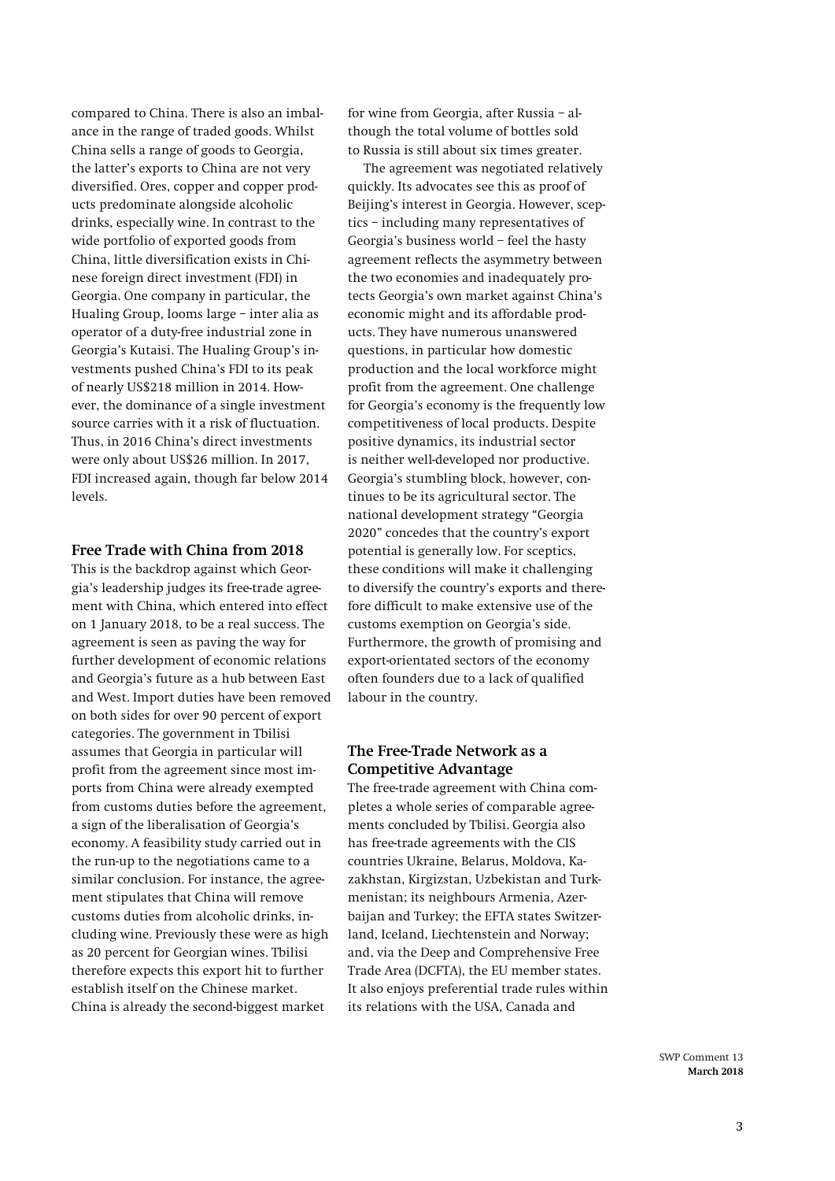compared to China. There is also an imbalance in the range of traded goods. Whilst China sells a range of goods to Georgia, the latter's exports to China are not very diversified. Ores, copper and copper products predominate alongside alcoholic drinks, especially wine. In contrast to the wide portfolio of exported goods from China, little diversification exists in Chinese foreign direct investment (FDI) in Georgia. One company in particular, the Hualing Group, looms large – inter alia as operator of a duty-free industrial zone in Georgia's Kutaisi. The Hualing Group's investments pushed China's FDI to its peak of nearly US\$218 million in 2014. However, the dominance of a single investment source carries with it a risk of fluctuation. Thus, in 2016 China's direct investments were only about US\$26 million. In 2017, FDI increased again, though far below 2014 levels.

## **Free Trade with China from 2018**

This is the backdrop against which Georgia's leadership judges its free-trade agreement with China, which entered into effect on 1 January 2018, to be a real success. The agreement is seen as paving the way for further development of economic relations and Georgia's future as a hub between East and West. Import duties have been removed on both sides for over 90 percent of export categories. The government in Tbilisi assumes that Georgia in particular will profit from the agreement since most imports from China were already exempted from customs duties before the agreement, a sign of the liberalisation of Georgia's economy. A feasibility study carried out in the run-up to the negotiations came to a similar conclusion. For instance, the agreement stipulates that China will remove customs duties from alcoholic drinks, including wine. Previously these were as high as 20 percent for Georgian wines. Tbilisi therefore expects this export hit to further establish itself on the Chinese market. China is already the second-biggest market

for wine from Georgia, after Russia – although the total volume of bottles sold to Russia is still about six times greater.

The agreement was negotiated relatively quickly. Its advocates see this as proof of Beijing's interest in Georgia. However, sceptics – including many representatives of Georgia's business world – feel the hasty agreement reflects the asymmetry between the two economies and inadequately protects Georgia's own market against China's economic might and its affordable products. They have numerous unanswered questions, in particular how domestic production and the local workforce might profit from the agreement. One challenge for Georgia's economy is the frequently low competitiveness of local products. Despite positive dynamics, its industrial sector is neither well-developed nor productive. Georgia's stumbling block, however, continues to be its agricultural sector. The national development strategy "Georgia 2020" concedes that the country's export potential is generally low. For sceptics, these conditions will make it challenging to diversify the country's exports and therefore difficult to make extensive use of the customs exemption on Georgia's side. Furthermore, the growth of promising and export-orientated sectors of the economy often founders due to a lack of qualified labour in the country.

## **The Free-Trade Network as a Competitive Advantage**

The free-trade agreement with China completes a whole series of comparable agreements concluded by Tbilisi. Georgia also has free-trade agreements with the CIS countries Ukraine, Belarus, Moldova, Kazakhstan, Kirgizstan, Uzbekistan and Turkmenistan; its neighbours Armenia, Azerbaijan and Turkey; the EFTA states Switzerland, Iceland, Liechtenstein and Norway; and, via the Deep and Comprehensive Free Trade Area (DCFTA), the EU member states. It also enjoys preferential trade rules within its relations with the USA, Canada and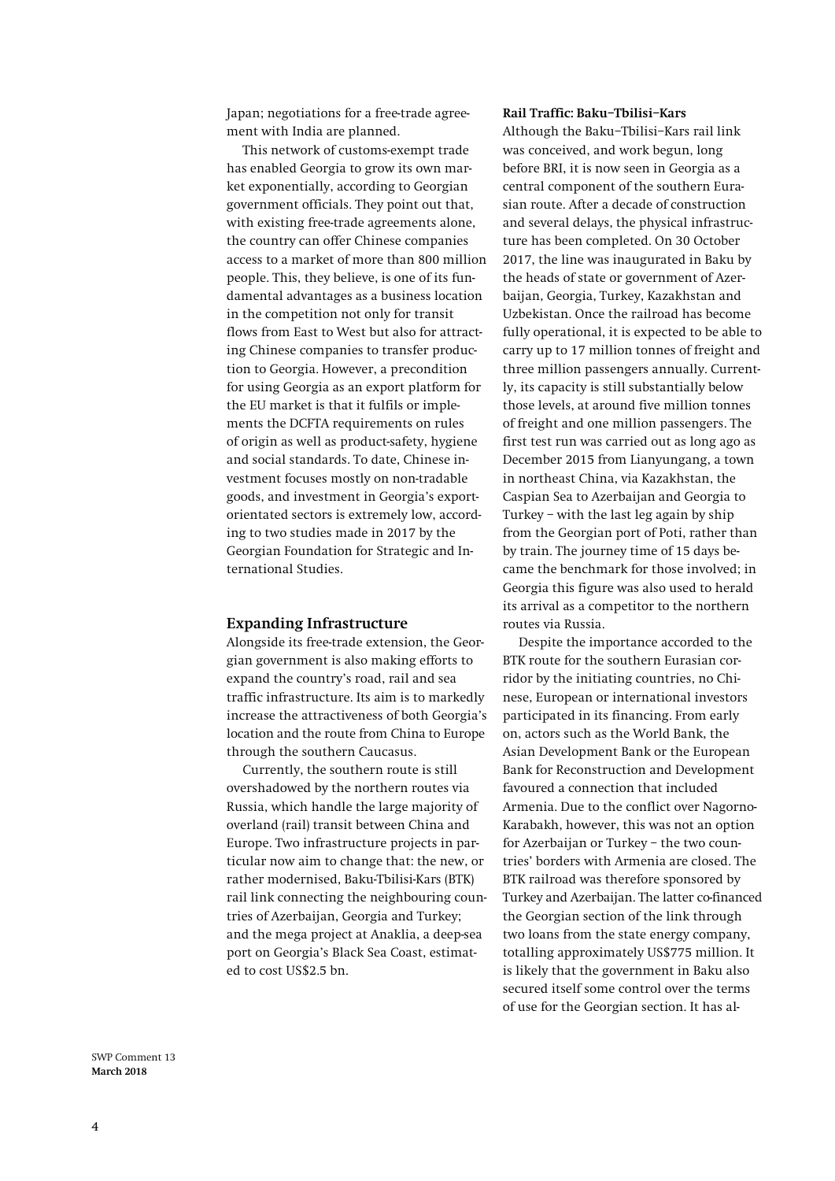Japan; negotiations for a free-trade agreement with India are planned.

This network of customs-exempt trade has enabled Georgia to grow its own market exponentially, according to Georgian government officials. They point out that, with existing free-trade agreements alone, the country can offer Chinese companies access to a market of more than 800 million people. This, they believe, is one of its fundamental advantages as a business location in the competition not only for transit flows from East to West but also for attracting Chinese companies to transfer production to Georgia. However, a precondition for using Georgia as an export platform for the EU market is that it fulfils or implements the DCFTA requirements on rules of origin as well as product-safety, hygiene and social standards. To date, Chinese investment focuses mostly on non-tradable goods, and investment in Georgia's exportorientated sectors is extremely low, according to two studies made in 2017 by the Georgian Foundation for Strategic and International Studies.

#### **Expanding Infrastructure**

Alongside its free-trade extension, the Georgian government is also making efforts to expand the country's road, rail and sea traffic infrastructure. Its aim is to markedly increase the attractiveness of both Georgia's location and the route from China to Europe through the southern Caucasus.

Currently, the southern route is still overshadowed by the northern routes via Russia, which handle the large majority of overland (rail) transit between China and Europe. Two infrastructure projects in particular now aim to change that: the new, or rather modernised, Baku-Tbilisi-Kars (BTK) rail link connecting the neighbouring countries of Azerbaijan, Georgia and Turkey; and the mega project at Anaklia, a deep-sea port on Georgia's Black Sea Coast, estimated to cost US\$2.5 bn.

#### **Rail Traffic: Baku–Tbilisi–Kars**

Although the Baku–Tbilisi–Kars rail link was conceived, and work begun, long before BRI, it is now seen in Georgia as a central component of the southern Eurasian route. After a decade of construction and several delays, the physical infrastructure has been completed. On 30 October 2017, the line was inaugurated in Baku by the heads of state or government of Azerbaijan, Georgia, Turkey, Kazakhstan and Uzbekistan. Once the railroad has become fully operational, it is expected to be able to carry up to 17 million tonnes of freight and three million passengers annually. Currently, its capacity is still substantially below those levels, at around five million tonnes of freight and one million passengers. The first test run was carried out as long ago as December 2015 from Lianyungang, a town in northeast China, via Kazakhstan, the Caspian Sea to Azerbaijan and Georgia to Turkey – with the last leg again by ship from the Georgian port of Poti, rather than by train. The journey time of 15 days became the benchmark for those involved; in Georgia this figure was also used to herald its arrival as a competitor to the northern routes via Russia.

Despite the importance accorded to the BTK route for the southern Eurasian corridor by the initiating countries, no Chinese, European or international investors participated in its financing. From early on, actors such as the World Bank, the Asian Development Bank or the European Bank for Reconstruction and Development favoured a connection that included Armenia. Due to the conflict over Nagorno-Karabakh, however, this was not an option for Azerbaijan or Turkey – the two countries' borders with Armenia are closed. The BTK railroad was therefore sponsored by Turkey and Azerbaijan. The latter co-financed the Georgian section of the link through two loans from the state energy company, totalling approximately US\$775 million. It is likely that the government in Baku also secured itself some control over the terms of use for the Georgian section. It has al-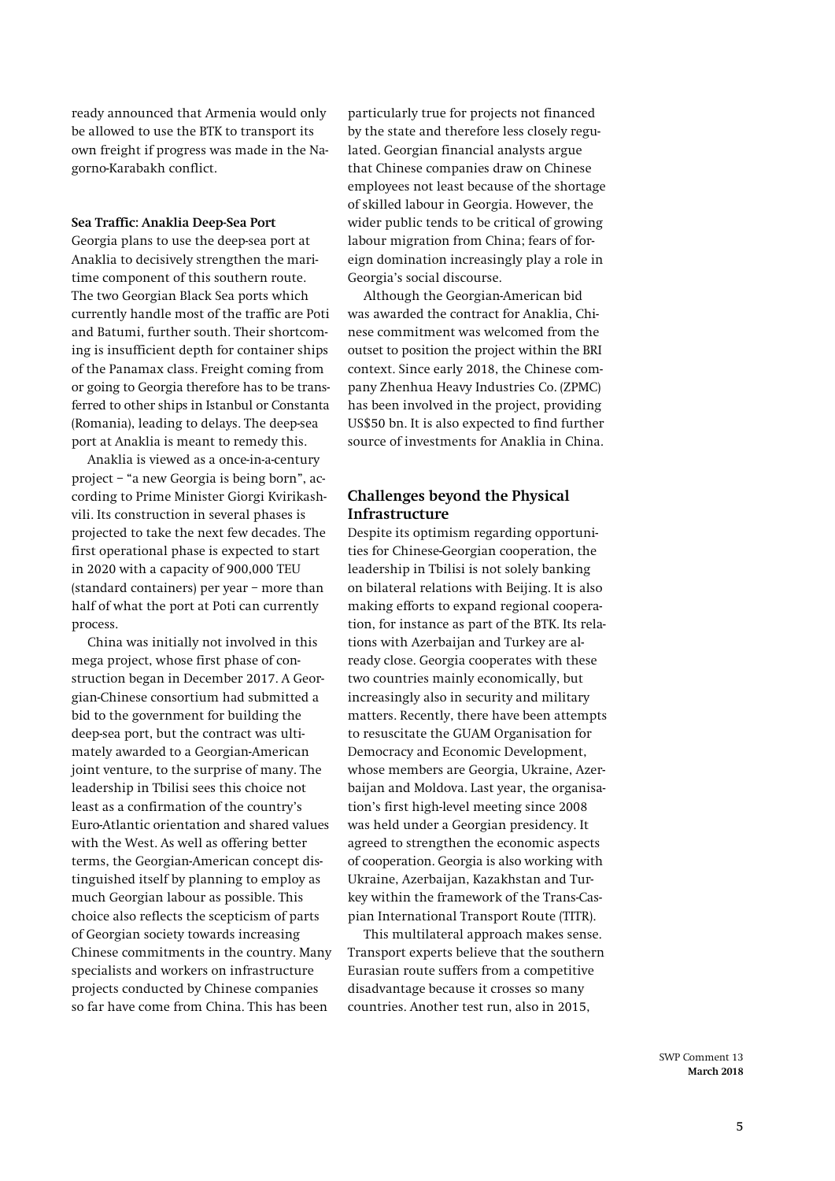ready announced that Armenia would only be allowed to use the BTK to transport its own freight if progress was made in the Nagorno-Karabakh conflict.

#### **Sea Traffic: Anaklia Deep-Sea Port**

Georgia plans to use the deep-sea port at Anaklia to decisively strengthen the maritime component of this southern route. The two Georgian Black Sea ports which currently handle most of the traffic are Poti and Batumi, further south. Their shortcoming is insufficient depth for container ships of the Panamax class. Freight coming from or going to Georgia therefore has to be transferred to other ships in Istanbul or Constanta (Romania), leading to delays. The deep-sea port at Anaklia is meant to remedy this.

Anaklia is viewed as a once-in-a-century project – "a new Georgia is being born", according to Prime Minister Giorgi Kvirikashvili. Its construction in several phases is projected to take the next few decades. The first operational phase is expected to start in 2020 with a capacity of 900,000 TEU (standard containers) per year – more than half of what the port at Poti can currently process.

China was initially not involved in this mega project, whose first phase of construction began in December 2017. A Georgian-Chinese consortium had submitted a bid to the government for building the deep-sea port, but the contract was ultimately awarded to a Georgian-American joint venture, to the surprise of many. The leadership in Tbilisi sees this choice not least as a confirmation of the country's Euro-Atlantic orientation and shared values with the West. As well as offering better terms, the Georgian-American concept distinguished itself by planning to employ as much Georgian labour as possible. This choice also reflects the scepticism of parts of Georgian society towards increasing Chinese commitments in the country. Many specialists and workers on infrastructure projects conducted by Chinese companies so far have come from China. This has been

particularly true for projects not financed by the state and therefore less closely regulated. Georgian financial analysts argue that Chinese companies draw on Chinese employees not least because of the shortage of skilled labour in Georgia. However, the wider public tends to be critical of growing labour migration from China; fears of foreign domination increasingly play a role in Georgia's social discourse.

Although the Georgian-American bid was awarded the contract for Anaklia, Chinese commitment was welcomed from the outset to position the project within the BRI context. Since early 2018, the Chinese company Zhenhua Heavy Industries Co. (ZPMC) has been involved in the project, providing US\$50 bn. It is also expected to find further source of investments for Anaklia in China.

## **Challenges beyond the Physical Infrastructure**

Despite its optimism regarding opportunities for Chinese-Georgian cooperation, the leadership in Tbilisi is not solely banking on bilateral relations with Beijing. It is also making efforts to expand regional cooperation, for instance as part of the BTK. Its relations with Azerbaijan and Turkey are already close. Georgia cooperates with these two countries mainly economically, but increasingly also in security and military matters. Recently, there have been attempts to resuscitate the GUAM Organisation for Democracy and Economic Development, whose members are Georgia, Ukraine, Azerbaijan and Moldova. Last year, the organisation's first high-level meeting since 2008 was held under a Georgian presidency. It agreed to strengthen the economic aspects of cooperation. Georgia is also working with Ukraine, Azerbaijan, Kazakhstan and Turkey within the framework of the Trans-Caspian International Transport Route (TITR).

This multilateral approach makes sense. Transport experts believe that the southern Eurasian route suffers from a competitive disadvantage because it crosses so many countries. Another test run, also in 2015,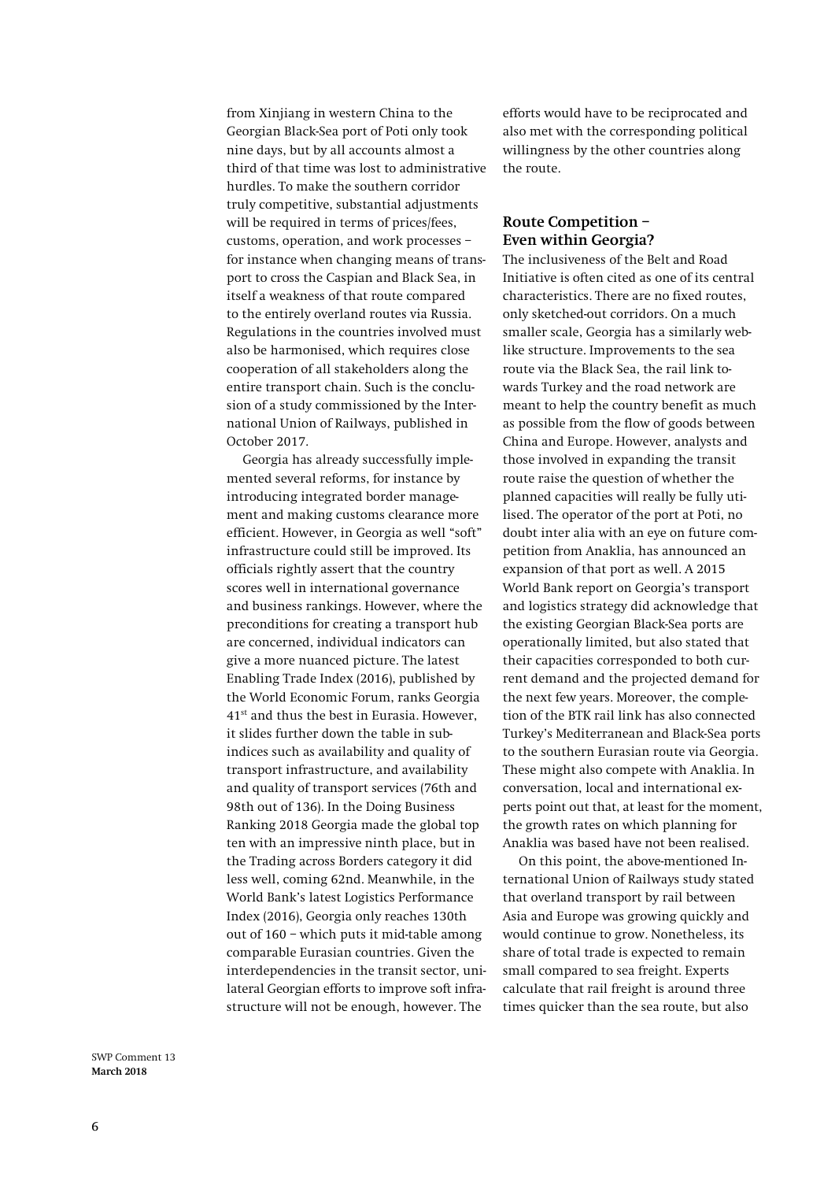from Xinjiang in western China to the Georgian Black-Sea port of Poti only took nine days, but by all accounts almost a third of that time was lost to administrative hurdles. To make the southern corridor truly competitive, substantial adjustments will be required in terms of prices/fees, customs, operation, and work processes – for instance when changing means of transport to cross the Caspian and Black Sea, in itself a weakness of that route compared to the entirely overland routes via Russia. Regulations in the countries involved must also be harmonised, which requires close cooperation of all stakeholders along the entire transport chain. Such is the conclusion of a study commissioned by the International Union of Railways, published in October 2017.

Georgia has already successfully implemented several reforms, for instance by introducing integrated border management and making customs clearance more efficient. However, in Georgia as well "soft" infrastructure could still be improved. Its officials rightly assert that the country scores well in international governance and business rankings. However, where the preconditions for creating a transport hub are concerned, individual indicators can give a more nuanced picture. The latest Enabling Trade Index (2016), published by the World Economic Forum, ranks Georgia 41st and thus the best in Eurasia. However, it slides further down the table in subindices such as availability and quality of transport infrastructure, and availability and quality of transport services (76th and 98th out of 136). In the Doing Business Ranking 2018 Georgia made the global top ten with an impressive ninth place, but in the Trading across Borders category it did less well, coming 62nd. Meanwhile, in the World Bank's latest Logistics Performance Index (2016), Georgia only reaches 130th out of 160 – which puts it mid-table among comparable Eurasian countries. Given the interdependencies in the transit sector, unilateral Georgian efforts to improve soft infrastructure will not be enough, however. The

efforts would have to be reciprocated and also met with the corresponding political willingness by the other countries along the route.

## **Route Competition – Even within Georgia?**

The inclusiveness of the Belt and Road Initiative is often cited as one of its central characteristics. There are no fixed routes, only sketched-out corridors. On a much smaller scale, Georgia has a similarly weblike structure. Improvements to the sea route via the Black Sea, the rail link towards Turkey and the road network are meant to help the country benefit as much as possible from the flow of goods between China and Europe. However, analysts and those involved in expanding the transit route raise the question of whether the planned capacities will really be fully utilised. The operator of the port at Poti, no doubt inter alia with an eye on future competition from Anaklia, has announced an expansion of that port as well. A 2015 World Bank report on Georgia's transport and logistics strategy did acknowledge that the existing Georgian Black-Sea ports are operationally limited, but also stated that their capacities corresponded to both current demand and the projected demand for the next few years. Moreover, the completion of the BTK rail link has also connected Turkey's Mediterranean and Black-Sea ports to the southern Eurasian route via Georgia. These might also compete with Anaklia. In conversation, local and international experts point out that, at least for the moment, the growth rates on which planning for Anaklia was based have not been realised.

On this point, the above-mentioned International Union of Railways study stated that overland transport by rail between Asia and Europe was growing quickly and would continue to grow. Nonetheless, its share of total trade is expected to remain small compared to sea freight. Experts calculate that rail freight is around three times quicker than the sea route, but also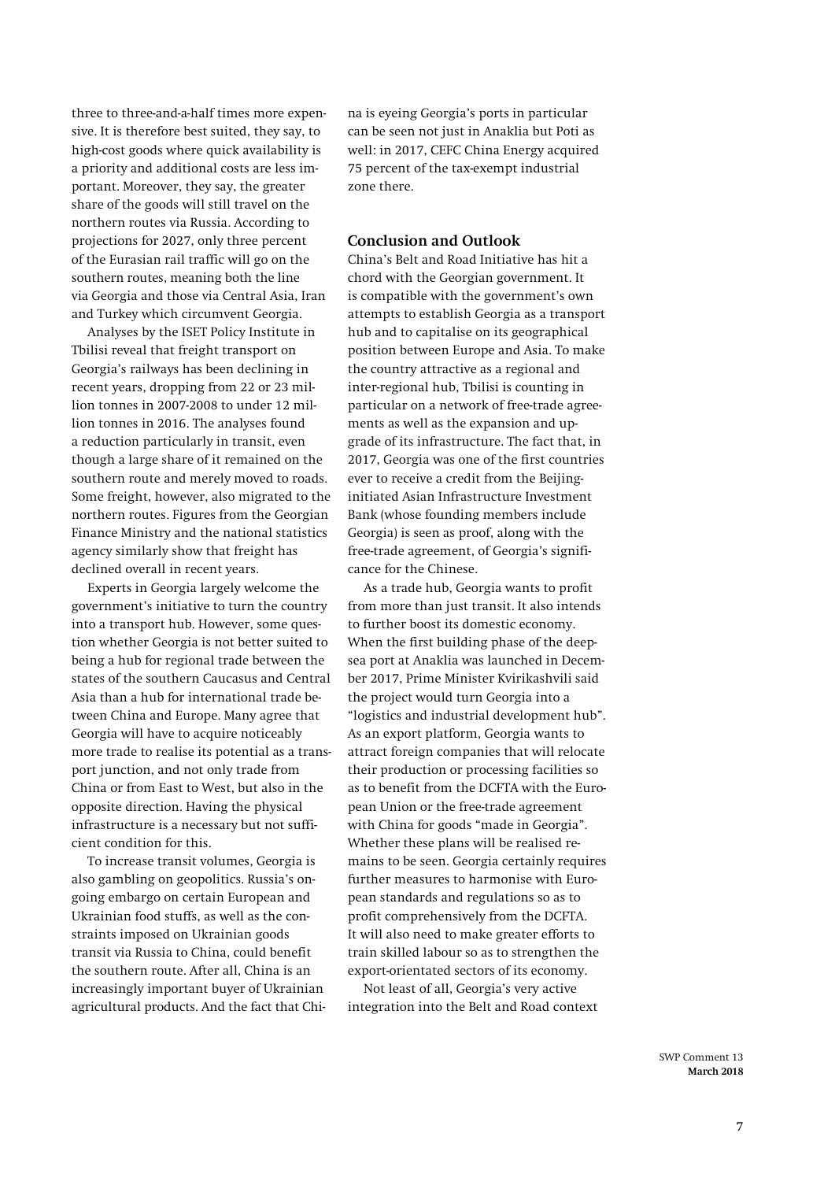three to three-and-a-half times more expensive. It is therefore best suited, they say, to high-cost goods where quick availability is a priority and additional costs are less important. Moreover, they say, the greater share of the goods will still travel on the northern routes via Russia. According to projections for 2027, only three percent of the Eurasian rail traffic will go on the southern routes, meaning both the line via Georgia and those via Central Asia, Iran and Turkey which circumvent Georgia.

Analyses by the ISET Policy Institute in Tbilisi reveal that freight transport on Georgia's railways has been declining in recent years, dropping from 22 or 23 million tonnes in 2007-2008 to under 12 million tonnes in 2016. The analyses found a reduction particularly in transit, even though a large share of it remained on the southern route and merely moved to roads. Some freight, however, also migrated to the northern routes. Figures from the Georgian Finance Ministry and the national statistics agency similarly show that freight has declined overall in recent years.

Experts in Georgia largely welcome the government's initiative to turn the country into a transport hub. However, some question whether Georgia is not better suited to being a hub for regional trade between the states of the southern Caucasus and Central Asia than a hub for international trade between China and Europe. Many agree that Georgia will have to acquire noticeably more trade to realise its potential as a transport junction, and not only trade from China or from East to West, but also in the opposite direction. Having the physical infrastructure is a necessary but not sufficient condition for this.

To increase transit volumes, Georgia is also gambling on geopolitics. Russia's ongoing embargo on certain European and Ukrainian food stuffs, as well as the constraints imposed on Ukrainian goods transit via Russia to China, could benefit the southern route. After all, China is an increasingly important buyer of Ukrainian agricultural products. And the fact that Chi-

na is eyeing Georgia's ports in particular can be seen not just in Anaklia but Poti as well: in 2017, CEFC China Energy acquired 75 percent of the tax-exempt industrial zone there.

## **Conclusion and Outlook**

China's Belt and Road Initiative has hit a chord with the Georgian government. It is compatible with the government's own attempts to establish Georgia as a transport hub and to capitalise on its geographical position between Europe and Asia. To make the country attractive as a regional and inter-regional hub, Tbilisi is counting in particular on a network of free-trade agreements as well as the expansion and upgrade of its infrastructure. The fact that, in 2017, Georgia was one of the first countries ever to receive a credit from the Beijinginitiated Asian Infrastructure Investment Bank (whose founding members include Georgia) is seen as proof, along with the free-trade agreement, of Georgia's significance for the Chinese.

As a trade hub, Georgia wants to profit from more than just transit. It also intends to further boost its domestic economy. When the first building phase of the deepsea port at Anaklia was launched in December 2017, Prime Minister Kvirikashvili said the project would turn Georgia into a "logistics and industrial development hub". As an export platform, Georgia wants to attract foreign companies that will relocate their production or processing facilities so as to benefit from the DCFTA with the European Union or the free-trade agreement with China for goods "made in Georgia". Whether these plans will be realised remains to be seen. Georgia certainly requires further measures to harmonise with European standards and regulations so as to profit comprehensively from the DCFTA. It will also need to make greater efforts to train skilled labour so as to strengthen the export-orientated sectors of its economy.

Not least of all, Georgia's very active integration into the Belt and Road context